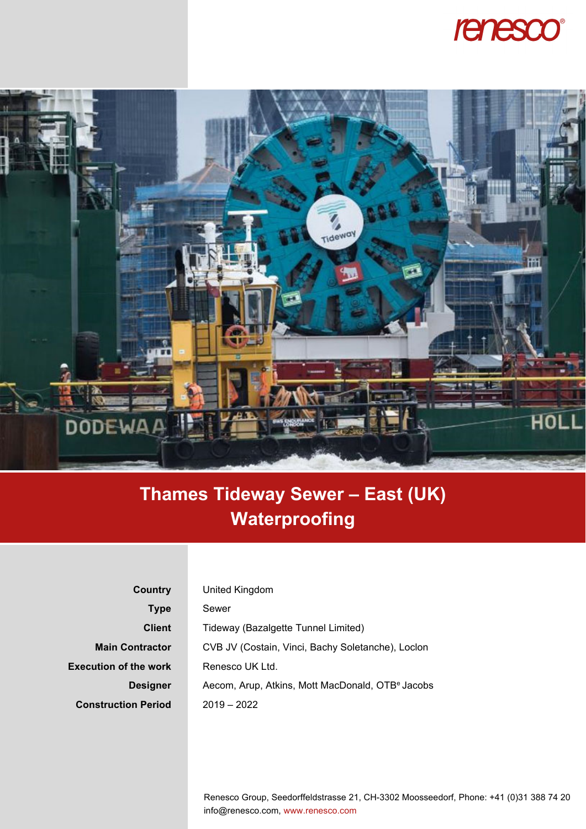## renesco®



## **Thames Tideway Sewer – East (UK) Waterproofing**

| Country                      | United Kingdom                                               |
|------------------------------|--------------------------------------------------------------|
| <b>Type</b>                  | Sewer                                                        |
| <b>Client</b>                | Tideway (Bazalgette Tunnel Limited)                          |
| <b>Main Contractor</b>       | CVB JV (Costain, Vinci, Bachy Soletanche), Loclon            |
| <b>Execution of the work</b> | Renesco UK Ltd.                                              |
| <b>Designer</b>              | Aecom, Arup, Atkins, Mott MacDonald, OTB <sup>e</sup> Jacobs |
| <b>Construction Period</b>   | $2019 - 2022$                                                |